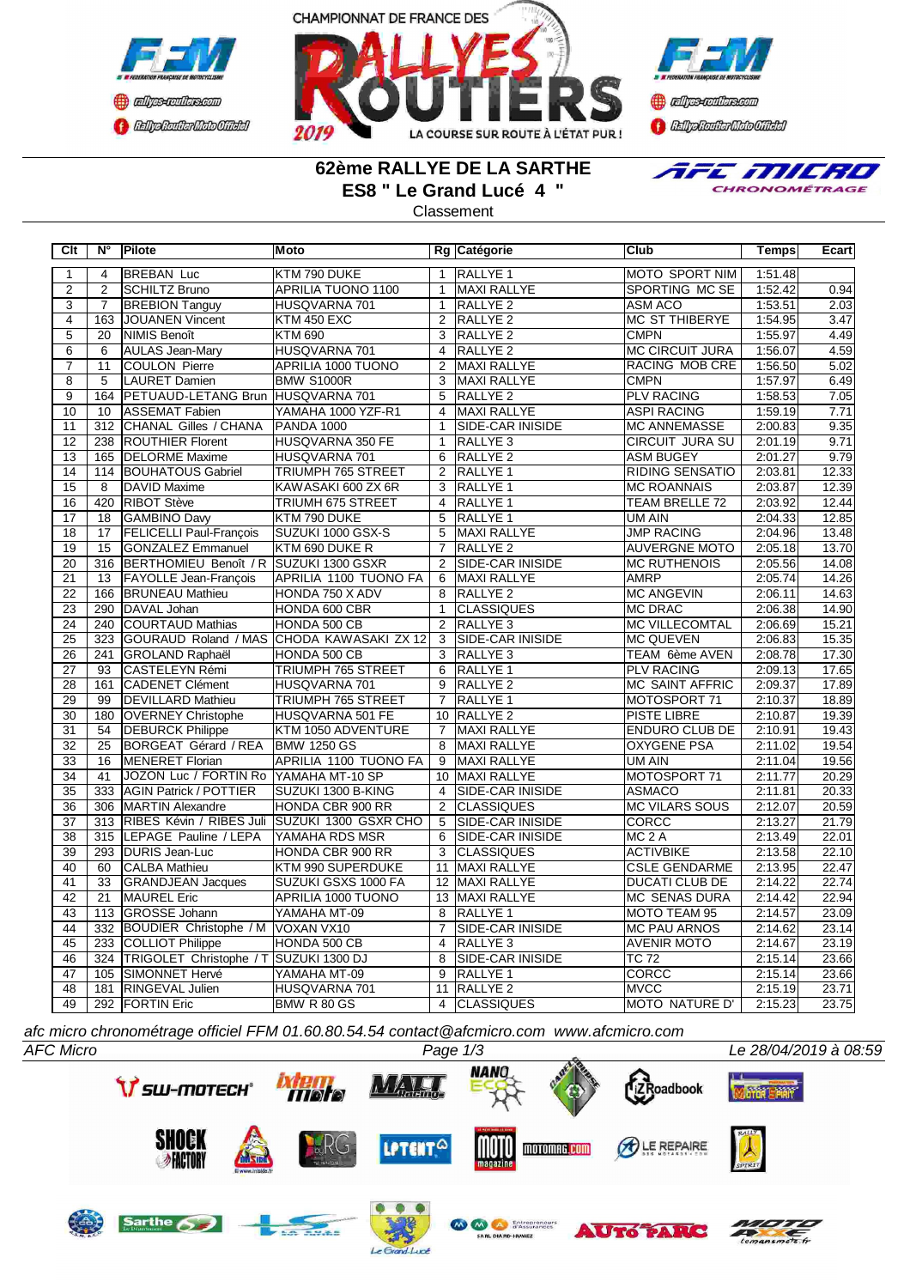



**B** refires renthas com **BEDplomerMoto Citeby** 

## **62ème RALLYE DE LA SARTHE ES8 " Le Grand Lucé 4 "**

**Classement** 



**Clt N° Pilote Moto Rg Catégorie Club Temps Ecart** 1 4 BREBAN Luc KTM 790 DUKE 1 RALLYE 1 MOTO SPORT NIM 1:51.48 2 2 SCHILTZ Bruno APRILIA TUONO 1100 1 MAXI RALLYE SPORTING MC SE 1:52.42 0.94 3 7 BREBION Tanguy HUSQVARNA 701 1 RALLYE 2 ASM ACO 1:53.51 2.03<br>4 163 JOUANEN Vincent KTM 450 EXC 2 RALLYE 2 MC ST THIBERYE 1:54.95 3.47 4 | 163 JOUANEN Vincent KTM 450 EXC 2 RALLYE 2 MC ST THIBERYE | 1:54.95 3.47 5 | 20 |NIMIS Benoît |KTM 690 | 3 |RALLYE 2 | CMPN | 1:55.97| 4.49 6 6 AULAS Jean-Mary HUSQVARNA 701 4 RALLYE 2 MC CIRCUIT JURA 1:56.07 4.59 7 11 COULON Pierre APRILIA 1000 TUONO 2 MAXI RALLYE RACING MOB CRE 1:56.50 5.02 8 5 LAURET Damien BMW S1000R 3 MAXI RALLYE CMPN 1:57.97 6.49 9 164 PETUAUD-LETANG Brun HUSQVARNA 701 5 RALLYE 2 PLV RACING 1:58.53 7.05 10 10 ASSEMAT Fabien 12 11 YAMAHA 1000 YZF-R1 1 4 MAXI RALLYE ASPI RACING 1:59.19 1.571<br>11 312 CHANAL Gilles / CHANA PANDA 1000 1 1 SIDE-CAR INISIDE MC ANNEMASSE 2:00.83 9.35 11 312 CHANAL Gilles / CHANA PANDA 1000 | 1 12 238 ROUTHIER Florent HUSQVARNA 350 FE 1 RALLYE 3 CIRCUIT JURA SU 2:01.19 9.71 13 165 DELORME Maxime HUSQVARNA 701 6 RALLYE 2 ASM BUGEY 2:01.27 14 | 114 BOUHATOUS Gabriel TRIUMPH 765 STREET | 2 RALLYE 1 RIDING SENSATIO | 2:03.81 12.33 15 8 DAVID Maxime KAWASAKI 600 ZX 6R 3 RALLYE 1 MC ROANNAIS 2:03.87 12.39 16 420 RIBOT Stève TRIUMH 675 STREET 4 RALLYE 1 TEAM BRELLE 72 2:03.92 12.44 17 18 GAMBINO Davy KTM 790 DUKE 5 RALLYE 1 UM AIN 2:04.33 12.85 18 17 FELICELLI Paul-Francois SUZUKI 1000 GSX-S 5 MAXI RALLYE JUMP RACING 2:04.96 13.48 19 15 GONZALEZ Emmanuel KTM 690 DUKE R 7 RALLYE 2 AUVERGNE MOTO 2:05.18 13.70<br>20 316 BERTHOMIEU Benoît / R SUZUKI 1300 GSXR 2 SIDE-CAR INISIDE MC RUTHENOIS 2:05.56 14.08 316 BERTHOMIEU Benoît / R 21 13 FAYOLLE Jean-François APRILIA 1100 TUONO FA 6 MAXI RALLYE AMRP 2:05.74 14.26<br>22 166 BRUNEAU Mathieu HONDA 750 X ADV 8 RALLYE 2 MC ANGEVIN 2:06.11 14.63 22 166 BRUNEAU Mathieu HONDA 750 X ADV 8 RALLYE 2 MC ANGE<br>23 290 DAVAL Johan HONDA 600 CBR 1 CLASSIQUES MC DRAC 23 290 DAVAL Johan HONDA 600 CBR 1 CLASSIQUES MC DRAC 2:06.38 14.90<br>24 240 COURTAUD Mathias HONDA 500 CB 2 RALLYE 3 MC VILLECOMTAL 2:06.69 15.21 24 240 COURTAUD Mathias HONDA 500 CB 2 RALLYE 3 MC VILLECOMTAL 2:06.69 15.21 25 323 GOURAUD Roland / MAS CHODA KAWASAKI ZX 12 3 SIDE-CAR INISIDE MC QUEVEN 2:06.83 15.35<br>26 241 GROLAND Raphaël HONDA 500 CB 3 RALLYE 3 TTEAM 6ème AVEN 2:08.78 17.30 **COLAND Raphaël HONDA 500 CB** 3 27 93 CASTELEYN Rémi TRIUMPH 765 STREET 6 RALLYE 1 PLV RACING 2:09.13 17.65<br>28 161 CADENET Clément HUSQVARNA 701 9 RALLYE 2 MC SAINT AFFRIC 2:09.37 17.89 28 161 CADENET Clément HUSQVARNA 701 9 RALLYE 2 MC SAINT AFFRIC 2:09.37 17.89<br>29 99 DEVILLARD Mathieu TRIUMPH 765 STREET 7 RALLYE 1 MOTOSPORT 71 2:10.37 18.89 29 99 DEVILLARD Mathieu TRIUMPH 765 STREET 7 RALLYE 1 MOTOSPORT 71 2:10.37 18.89<br>30 180 OVERNEY Christophe HUSOVARNA 501 FF 10 RALLYE 2 PISTE LIBRE 2:10.87 19.39 30 180 OVERNEY Christophe HUSQVARNA 501 FE 10 RALLYE 2 PISTE LIBRE 2:10.87 19.39 31 54 DEBURCK Philippe KTM 1050 ADVENTURE 7 MAXI RALLYE ENDURO CLUB DE 2:10.91 19.43 32 25 BORGEAT Gérard / REA BMW 1250 GS 8 MAXI RALLYE OXYGENE PSA 2:11.02 19.54 **APRILIA 1100 TUONO FA** 34 | 41 | JOZON Luc / FORTIN Ro YAMAHA MT-10 SP | 10 | MAXI RALLYE | MOTOSPORT 71 | 2:11.77 20.29 35 333 AGIN Patrick / POTTIER SUZUKI 1300 B-KING 4 SIDE-CAR INISIDE ASMACO 2:11.81 20.33 36 306 MARTIN Alexandre HONDA CBR 900 RR 2 CLASSIQUES MC VILARS SOUS 2:12.07 20.59<br>37 313 RIBES Kévin / RIBES Juli SUZUKI 1300 GSXR CHO 5 SIDE-CAR INISIDE CORCC 2 2:13.27 21.79 313 RIBES Kévin / RIBES Juli 38 315 LEPAGE Pauline / LEPA YAMAHA RDS MSR 6 SIDE-CAR INISIDE MC 2 A 2:13.49 22.01<br>39 293 DURIS Jean-Luc HONDA CBR 900 RR 3 CLASSIQUES ACTIVBIKE 22:13.58 22:10 39 293 DURIS Jean-Luc HONDA CBR 900 RR 3 CLASSIQUES ACTIVBIKE 2:13.58 22.10<br>3 40 60 CALBA Mathieu KTM 990 SUPERDUKE 11 MAXI RALLYE CSLE GENDARME 2:13.95 22.47 40 60 CALBA Mathieu KTM 990 SUPERDUKE 11 MAXI RALLYE CSLE GENDARME 2:13.95 22.47 41 33 GRANDJEAN Jacques SUZUKI GSXS 1000 FA 12 MAXI RALLYE DUCATI CLUB DE 2:14.22<br>42 21 MAUREL Eric APRILIA 1000 TUONO 13 MAXI RALLYE MC SENAS DURA 2:14.42 42 21 MAUREL Eric APRILIA 1000 TUONO 13 MAXI RALLYE MC SENAS DURA 2:14.42 22.94 43 113 GROSSE Johann YAMAHA MT-09 8 RALLYE 1 MOTO TEAM 95 2:14.57 23.09<br>44 332 BOUDIER Christophe / M VOXAN VX10 7 SIDE-CAR INISIDE MC PAU ARNOS 2:14.62 23.14 4 832 BOUDIER Christophe / M VOXAN VX10 7 SIDE-CAR INISIDE MC PAU ARNO<br>233 COLLIOT Philippe HONDA 500 CB 4 RALLYE 3 4 AVENIR MOTO 45 233 COLLIOT Philippe HONDA 500 CB 4 RALLYE 3 AVENIR MOTO 2:14.67 23.19<br>46 324 TRIGOLET Christophe / T SUZUKI 1300 DJ 8 SIDE-CAR INISIDE TC 72 2:15.14 23.66 46 324 TRIGOLET Christophe 47 105 SIMONNET Hervé YAMAHA MT-09 9 RALLYE 1 CORCC 2:15.14 23.66 48 | 181 | RINGEVAL Julien | HUSQVARNA 701 | 11 | RALLYE 2 | MVCC | 2:15.19 | 2:3.71 49 292 FORTIN Eric BMW R 80 GS 4 CLASSIQUES MOTO NATURE D' 2:15.23 23.75

*afc micro chronométrage officiel FFM 01.60.80.54.54 contact@afcmicro.com www.afcmicro.com*

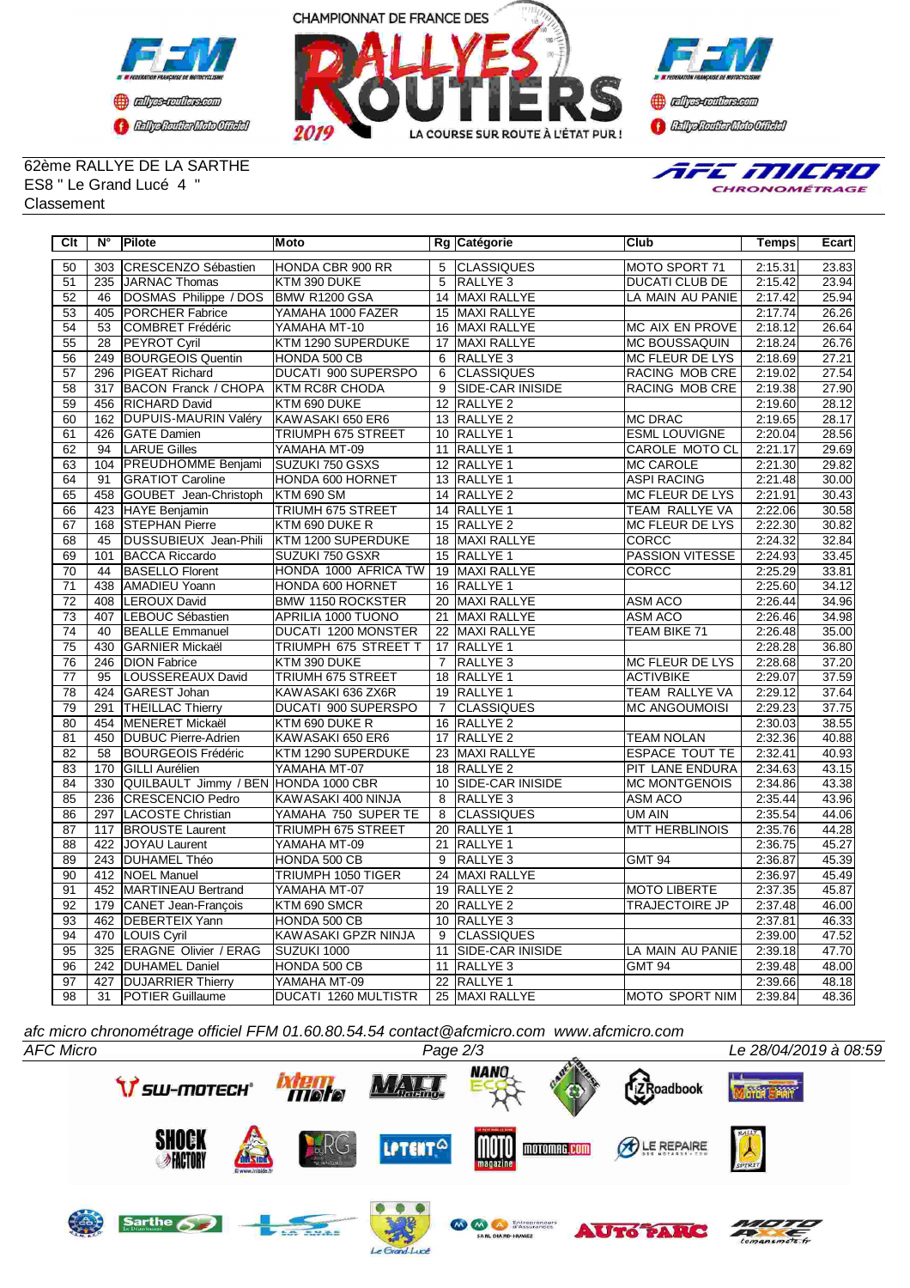



**Confederation CENTRAL MEDICATE** 

62ème RALLYE DE LA SARTHE ES8 " Le Grand Lucé 4 " Classement



| Clt             | N°               | Pilote                               | Moto                        |                | Rg Catégorie            | <b>Club</b>            | Temps   | Ecart |
|-----------------|------------------|--------------------------------------|-----------------------------|----------------|-------------------------|------------------------|---------|-------|
| 50              | 303              | CRESCENZO Sébastien                  | HONDA CBR 900 RR            | $\overline{5}$ | <b>CLASSIQUES</b>       | MOTO SPORT 71          | 2:15.31 | 23.83 |
| 51              | 235              | JARNAC Thomas                        | KTM 390 DUKE                | 5              | <b>RALLYE 3</b>         | <b>DUCATI CLUB DE</b>  | 2:15.42 | 23.94 |
| $\overline{52}$ | 46               | DOSMAS Philippe / DOS                | BMW R1200 GSA               |                | 14 MAXI RALLYE          | LA MAIN AU PANIE       | 2:17.42 | 25.94 |
| 53              | 405              | <b>IPORCHER Fabrice</b>              | YAMAHA 1000 FAZER           |                | 15 MAXI RALLYE          |                        | 2:17.74 | 26.26 |
| 54              | $\overline{53}$  | <b>COMBRET Frédéric</b>              | YAMAHA MT-10                |                | 16 MAXI RALLYE          | MC AIX EN PROVE        | 2:18.12 | 26.64 |
| 55              | 28               | <b>PEYROT Cyril</b>                  | KTM 1290 SUPERDUKE          |                | 17 MAXI RALLYE          | <b>MC BOUSSAQUIN</b>   | 2:18.24 | 26.76 |
| 56              |                  | 249 BOURGEOIS Quentin                | HONDA 500 CB                | 6              | RALLYE <sub>3</sub>     | MC FLEUR DE LYS        | 2:18.69 | 27.21 |
| $\overline{57}$ | 296              | <b>PIGEAT Richard</b>                | <b>DUCATI 900 SUPERSPO</b>  | $\overline{6}$ | <b>CLASSIQUES</b>       | RACING MOB CRE         | 2:19.02 | 27.54 |
| $\overline{58}$ | 317              | BACON Franck / CHOPA KTM RC8R CHODA  |                             | $\overline{9}$ | <b>SIDE-CAR INISIDE</b> | <b>RACING MOB CRE</b>  | 2:19.38 | 27.90 |
| $\overline{59}$ | 456              | <b>RICHARD David</b>                 | KTM 690 DUKE                |                | 12 RALLYE 2             |                        | 2:19.60 | 28.12 |
| $\overline{60}$ | 162              | <b>DUPUIS-MAURIN Valéry</b>          | KAWASAKI 650 ER6            |                | 13 RALLYE 2             | <b>MC DRAC</b>         | 2:19.65 | 28.17 |
| 61              | 426              | <b>GATE</b> Damien                   | TRIUMPH 675 STREET          |                | 10 RALLYE 1             | <b>ESML LOUVIGNE</b>   | 2:20.04 | 28.56 |
| 62              | 94               | <b>LARUE Gilles</b>                  | YAMAHA MT-09                | 11             | RALLYE <sub>1</sub>     | CAROLE MOTO CL         | 2:21.17 | 29.69 |
| 63              | 104              | <b>PREUDHOMME Benjami</b>            | <b>SUZUKI 750 GSXS</b>      |                | 12 RALLYE 1             | <b>MC CAROLE</b>       | 2:21.30 | 29.82 |
| 64              | 91               | <b>GRATIOT Caroline</b>              | HONDA 600 HORNET            |                | 13 RALLYE 1             | <b>ASPI RACING</b>     | 2:21.48 | 30.00 |
| 65              | 458              | GOUBET Jean-Christoph                | <b>KTM 690 SM</b>           |                | 14 RALLYE 2             | MC FLEUR DE LYS        | 2:21.91 | 30.43 |
| 66              | 423              | HAYE Benjamin                        | <b>TRIUMH 675 STREET</b>    |                | 14 RALLYE 1             | TEAM RALLYE VA         | 2:22.06 | 30.58 |
| 67              | 168              | <b>STEPHAN Pierre</b>                | KTM 690 DUKE R              |                | 15 RALLYE 2             | <b>MC FLEUR DE LYS</b> | 2:22.30 | 30.82 |
| 68              | 45               | DUSSUBIEUX Jean-Phili                | KTM 1200 SUPERDUKE          |                | 18 MAXI RALLYE          | <b>CORCC</b>           | 2:24.32 | 32.84 |
| 69              | 101              | <b>BACCA Riccardo</b>                | SUZUKI 750 GSXR             |                | 15 RALLYE 1             | <b>PASSION VITESSE</b> | 2:24.93 | 33.45 |
| 70              | 44               | <b>BASELLO Florent</b>               | HONDA 1000 AFRICA TW        |                | 19 MAXI RALLYE          | <b>CORCC</b>           | 2:25.29 | 33.81 |
| $\overline{71}$ | 438              | AMADIEU Yoann                        | HONDA 600 HORNET            |                | 16 RALLYE 1             |                        | 2:25.60 | 34.12 |
| $\overline{72}$ | 408              | <b>LEROUX David</b>                  | <b>BMW 1150 ROCKSTER</b>    |                | 20 MAXI RALLYE          | <b>ASM ACO</b>         | 2:26.44 | 34.96 |
| 73              | 407              | LEBOUC Sébastien                     | APRILIA 1000 TUONO          |                | 21 MAXI RALLYE          | <b>ASM ACO</b>         | 2:26.46 | 34.98 |
| $\overline{74}$ | 40               | <b>BEALLE Emmanuel</b>               | DUCATI 1200 MONSTER         |                | 22 MAXI RALLYE          | TEAM BIKE 71           | 2:26.48 | 35.00 |
| 75              | 430              | <b>GARNIER Mickaël</b>               | <b>TRIUMPH 675 STREET T</b> |                | 17 RALLYE 1             |                        | 2:28.28 | 36.80 |
| 76              | $\overline{246}$ | <b>DION Fabrice</b>                  | KTM 390 DUKE                | $\overline{7}$ | <b>RALLYE3</b>          | MC FLEUR DE LYS        | 2:28.68 | 37.20 |
| $\overline{77}$ | 95               | LOUSSEREAUX David                    | <b>TRIUMH 675 STREET</b>    |                | 18 RALLYE 1             | <b>ACTIVBIKE</b>       | 2:29.07 | 37.59 |
| $\overline{78}$ | 424              | GAREST Johan                         | KAWASAKI 636 ZX6R           |                | 19 RALLYE 1             | <b>TEAM RALLYE VA</b>  | 2:29.12 | 37.64 |
| 79              | 291              | <b>THEILLAC Thierry</b>              | <b>DUCATI 900 SUPERSPO</b>  | $\overline{7}$ | <b>CLASSIQUES</b>       | <b>MC ANGOUMOISI</b>   | 2:29.23 | 37.75 |
| 80              | 454              | <b>MENERET Mickaël</b>               | KTM 690 DUKE R              |                | 16 RALLYE 2             |                        | 2:30.03 | 38.55 |
| 81              |                  | 450 DUBUC Pierre-Adrien              | KAWASAKI 650 ER6            |                | 17 RALLYE 2             | <b>TEAM NOLAN</b>      | 2:32.36 | 40.88 |
| 82              | 58               | BOURGEOIS Frédéric                   | KTM 1290 SUPERDUKE          |                | 23 MAXI RALLYE          | <b>ESPACE TOUT TE</b>  | 2:32.41 | 40.93 |
| 83              |                  | 170 GILLI Aurélien                   | YAMAHA MT-07                |                | 18 RALLYE 2             | PIT LANE ENDURA        | 2:34.63 | 43.15 |
| 84              | 330              | QUILBAULT Jimmy / BEN HONDA 1000 CBR |                             |                | 10 SIDE-CAR INISIDE     | <b>MC MONTGENOIS</b>   | 2:34.86 | 43.38 |
| 85              | 236              | <b>CRESCENCIO Pedro</b>              | KAWASAKI 400 NINJA          | 8              | RALLYE <sub>3</sub>     | <b>ASM ACO</b>         | 2:35.44 | 43.96 |
| 86              | 297              | LACOSTE Christian                    | YAMAHA 750 SUPER TE         | $\overline{8}$ | <b>CLASSIQUES</b>       | UM AIN                 | 2:35.54 | 44.06 |
| 87              |                  | 117 BROUSTE Laurent                  | TRIUMPH 675 STREET          |                | 20 RALLYE 1             | <b>MTT HERBLINOIS</b>  | 2:35.76 | 44.28 |
| 88              |                  | 422 JOYAU Laurent                    | YAMAHA MT-09                |                | 21 RALLYE 1             |                        | 2:36.75 | 45.27 |
| 89              |                  | 243 DUHAMEL Théo                     | HONDA 500 CB                | 9              | RALLYE <sub>3</sub>     | <b>GMT 94</b>          | 2:36.87 | 45.39 |
| 90              |                  | 412 NOEL Manuel                      | TRIUMPH 1050 TIGER          |                | 24 MAXI RALLYE          |                        | 2:36.97 | 45.49 |
| $\overline{91}$ |                  | 452 MARTINEAU Bertrand               | YAMAHA MT-07                |                | 19 RALLYE 2             | <b>MOTO LIBERTE</b>    | 2:37.35 | 45.87 |
| 92              |                  | 179 CANET Jean-François              | KTM 690 SMCR                |                | 20 RALLYE 2             | <b>TRAJECTOIRE JP</b>  | 2:37.48 | 46.00 |
| 93              |                  | 462 DEBERTEIX Yann                   | HONDA 500 CB                |                | 10 RALLYE 3             |                        | 2:37.81 | 46.33 |
| 94              |                  | 470   LOUIS Cyril                    | KAWASAKI GPZR NINJA         | 9              | <b>CLASSIQUES</b>       |                        | 2:39.00 | 47.52 |
| 95              | 325              | <b>ERAGNE Olivier / ERAG</b>         | SUZUKI 1000                 | 11             | <b>SIDE-CAR INISIDE</b> | LA MAIN AU PANIE       | 2:39.18 | 47.70 |
| 96              |                  | 242 DUHAMEL Daniel                   | HONDA 500 CB                | 11             | RALLYE <sub>3</sub>     | <b>GMT 94</b>          | 2:39.48 | 48.00 |
| 97              | 427              | <b>DUJARRIER Thierry</b>             | YAMAHA MT-09                |                | 22 RALLYE 1             |                        | 2:39.66 | 48.18 |
| 98              | 31               | POTIER Guillaume                     | DUCATI 1260 MULTISTR        |                | 25 MAXI RALLYE          | MOTO SPORT NIM         | 2:39.84 | 48.36 |

*afc micro chronométrage officiel FFM 01.60.80.54.54 contact@afcmicro.com www.afcmicro.com*



 $d$ *Luce*